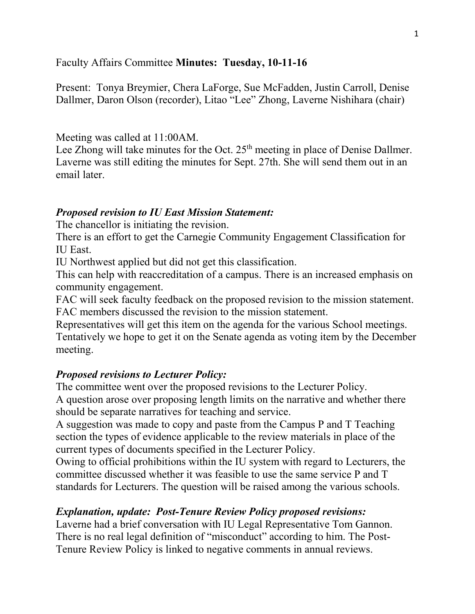### Faculty Affairs Committee **Minutes: Tuesday, 10-11-16**

Present: Tonya Breymier, Chera LaForge, Sue McFadden, Justin Carroll, Denise Dallmer, Daron Olson (recorder), Litao "Lee" Zhong, Laverne Nishihara (chair)

### Meeting was called at 11:00AM.

Lee Zhong will take minutes for the Oct.  $25<sup>th</sup>$  meeting in place of Denise Dallmer. Laverne was still editing the minutes for Sept. 27th. She will send them out in an email later.

### *Proposed revision to IU East Mission Statement:*

The chancellor is initiating the revision.

There is an effort to get the Carnegie Community Engagement Classification for IU East.

IU Northwest applied but did not get this classification.

This can help with reaccreditation of a campus. There is an increased emphasis on community engagement.

FAC will seek faculty feedback on the proposed revision to the mission statement. FAC members discussed the revision to the mission statement.

Representatives will get this item on the agenda for the various School meetings. Tentatively we hope to get it on the Senate agenda as voting item by the December meeting.

## *Proposed revisions to Lecturer Policy:*

The committee went over the proposed revisions to the Lecturer Policy.

A question arose over proposing length limits on the narrative and whether there should be separate narratives for teaching and service.

A suggestion was made to copy and paste from the Campus P and T Teaching section the types of evidence applicable to the review materials in place of the current types of documents specified in the Lecturer Policy.

Owing to official prohibitions within the IU system with regard to Lecturers, the committee discussed whether it was feasible to use the same service P and T standards for Lecturers. The question will be raised among the various schools.

## *Explanation, update: Post-Tenure Review Policy proposed revisions:*

Laverne had a brief conversation with IU Legal Representative Tom Gannon. There is no real legal definition of "misconduct" according to him. The Post-Tenure Review Policy is linked to negative comments in annual reviews.